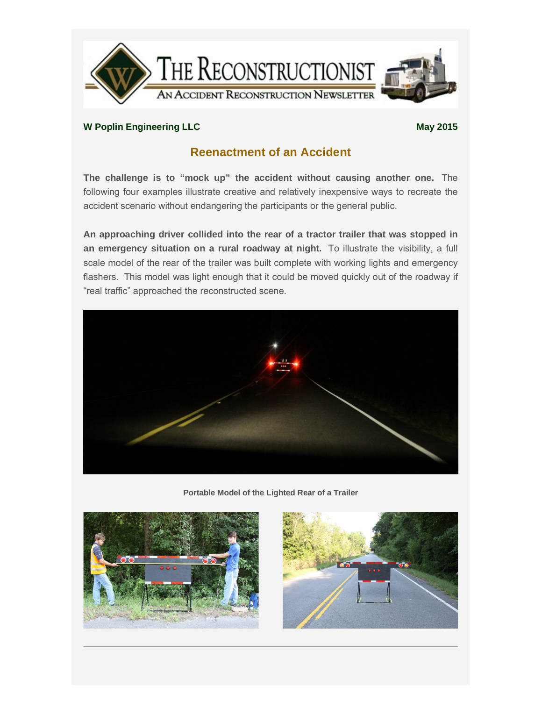

## **W** Poplin Engineering LLC **May** 2015

## **Reenactment of an Accident**

**The challenge is to "mock up" the accident without causing another one.** The following four examples illustrate creative and relatively inexpensive ways to recreate the accident scenario without endangering the participants or the general public.

**An approaching driver collided into the rear of a tractor trailer that was stopped in an emergency situation on a rural roadway at night.** To illustrate the visibility, a full scale model of the rear of the trailer was built complete with working lights and emergency flashers. This model was light enough that it could be moved quickly out of the roadway if "real traffic" approached the reconstructed scene.



**Portable Model of the Lighted Rear of a Trailer**



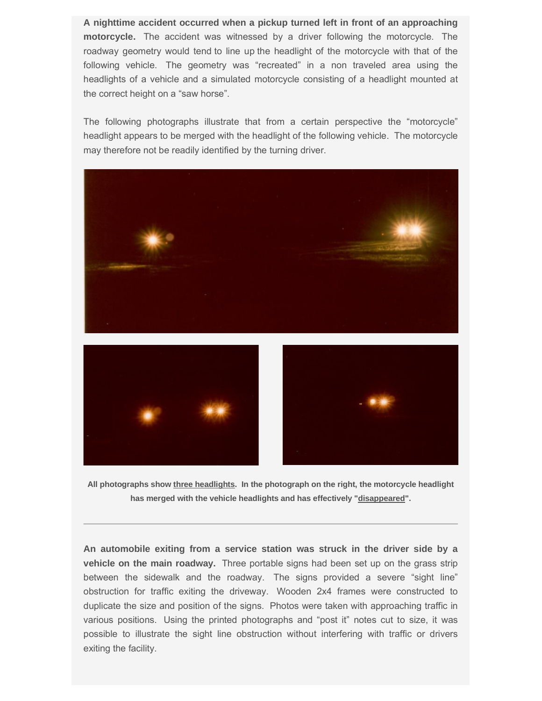**A nighttime accident occurred when a pickup turned left in front of an approaching motorcycle.** The accident was witnessed by a driver following the motorcycle. The roadway geometry would tend to line up the headlight of the motorcycle with that of the following vehicle. The geometry was "recreated" in a non traveled area using the headlights of a vehicle and a simulated motorcycle consisting of a headlight mounted at the correct height on a "saw horse".

The following photographs illustrate that from a certain perspective the "motorcycle" headlight appears to be merged with the headlight of the following vehicle. The motorcycle may therefore not be readily identified by the turning driver.



**All photographs show three headlights. In the photograph on the right, the motorcycle headlight** 

**has merged with the vehicle headlights and has effectively "disappeared".**

**An automobile exiting from a service station was struck in the driver side by a vehicle on the main roadway.** Three portable signs had been set up on the grass strip between the sidewalk and the roadway. The signs provided a severe "sight line" obstruction for traffic exiting the driveway. Wooden 2x4 frames were constructed to duplicate the size and position of the signs. Photos were taken with approaching traffic in various positions. Using the printed photographs and "post it" notes cut to size, it was possible to illustrate the sight line obstruction without interfering with traffic or drivers exiting the facility.